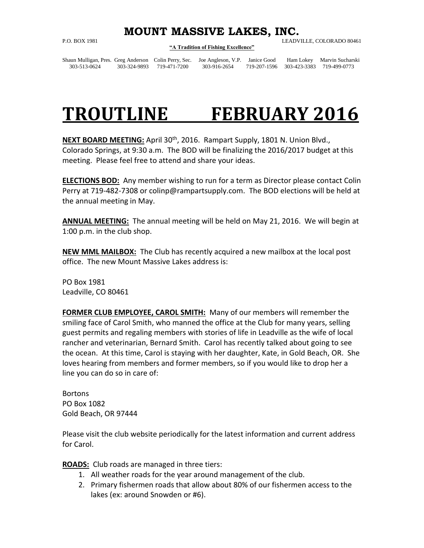## **MOUNT MASSIVE LAKES, INC.**

## **"A Tradition of Fishing Excellence"**

P.O. BOX 1981 LEADVILLE, COLORADO 80461

Shaun Mulligan, Pres. Greg Anderson Colin Perry, Sec. Joe Angleson, V.P. Janice Good Ham Lokey Marvin Sucharski 303-513-0624 303-324-9893 719-471-7200 303-916-2654 719-207-1596 303-423-3383 719-499-0773

## **TROUTLINE FEBRUARY 2016**

**NEXT BOARD MEETING:** April 30th, 2016. Rampart Supply, 1801 N. Union Blvd., Colorado Springs, at 9:30 a.m. The BOD will be finalizing the 2016/2017 budget at this meeting. Please feel free to attend and share your ideas.

**ELECTIONS BOD:** Any member wishing to run for a term as Director please contact Colin Perry at 719-482-7308 or [colinp@rampartsupply.com.](mailto:colinp@rampartsupply.com) The BOD elections will be held at the annual meeting in May.

**ANNUAL MEETING:** The annual meeting will be held on May 21, 2016. We will begin at 1:00 p.m. in the club shop.

**NEW MML MAILBOX:** The Club has recently acquired a new mailbox at the local post office. The new Mount Massive Lakes address is:

PO Box 1981 Leadville, CO 80461

**FORMER CLUB EMPLOYEE, CAROL SMITH:** Many of our members will remember the smiling face of Carol Smith, who manned the office at the Club for many years, selling guest permits and regaling members with stories of life in Leadville as the wife of local rancher and veterinarian, Bernard Smith. Carol has recently talked about going to see the ocean. At this time, Carol is staying with her daughter, Kate, in Gold Beach, OR. She loves hearing from members and former members, so if you would like to drop her a line you can do so in care of:

**Bortons** PO Box 1082 Gold Beach, OR 97444

Please visit the club website periodically for the latest information and current address for Carol.

**ROADS:** Club roads are managed in three tiers:

- 1. All weather roads for the year around management of the club.
- 2. Primary fishermen roads that allow about 80% of our fishermen access to the lakes (ex: around Snowden or #6).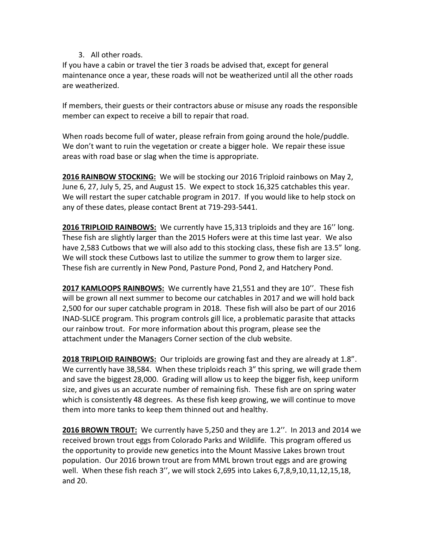## 3. All other roads.

If you have a cabin or travel the tier 3 roads be advised that, except for general maintenance once a year, these roads will not be weatherized until all the other roads are weatherized.

If members, their guests or their contractors abuse or misuse any roads the responsible member can expect to receive a bill to repair that road.

When roads become full of water, please refrain from going around the hole/puddle. We don't want to ruin the vegetation or create a bigger hole. We repair these issue areas with road base or slag when the time is appropriate.

**2016 RAINBOW STOCKING:** We will be stocking our 2016 Triploid rainbows on May 2, June 6, 27, July 5, 25, and August 15. We expect to stock 16,325 catchables this year. We will restart the super catchable program in 2017. If you would like to help stock on any of these dates, please contact Brent at 719-293-5441.

**2016 TRIPLOID RAINBOWS:** We currently have 15,313 triploids and they are 16'' long. These fish are slightly larger than the 2015 Hofers were at this time last year. We also have 2,583 Cutbows that we will also add to this stocking class, these fish are 13.5" long. We will stock these Cutbows last to utilize the summer to grow them to larger size. These fish are currently in New Pond, Pasture Pond, Pond 2, and Hatchery Pond.

**2017 KAMLOOPS RAINBOWS:** We currently have 21,551 and they are 10''. These fish will be grown all next summer to become our catchables in 2017 and we will hold back 2,500 for our super catchable program in 2018. These fish will also be part of our 2016 INAD-SLICE program. This program controls gill lice, a problematic parasite that attacks our rainbow trout. For more information about this program, please see the attachment under the Managers Corner section of the club website.

**2018 TRIPLOID RAINBOWS:** Our triploids are growing fast and they are already at 1.8". We currently have 38,584. When these triploids reach 3" this spring, we will grade them and save the biggest 28,000. Grading will allow us to keep the bigger fish, keep uniform size, and gives us an accurate number of remaining fish. These fish are on spring water which is consistently 48 degrees. As these fish keep growing, we will continue to move them into more tanks to keep them thinned out and healthy.

**2016 BROWN TROUT:** We currently have 5,250 and they are 1.2''. In 2013 and 2014 we received brown trout eggs from Colorado Parks and Wildlife. This program offered us the opportunity to provide new genetics into the Mount Massive Lakes brown trout population. Our 2016 brown trout are from MML brown trout eggs and are growing well. When these fish reach 3'', we will stock 2,695 into Lakes 6,7,8,9,10,11,12,15,18, and 20.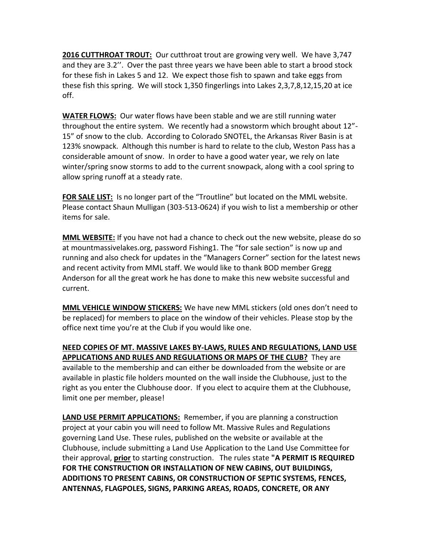**2016 CUTTHROAT TROUT:** Our cutthroat trout are growing very well. We have 3,747 and they are 3.2''. Over the past three years we have been able to start a brood stock for these fish in Lakes 5 and 12. We expect those fish to spawn and take eggs from these fish this spring. We will stock 1,350 fingerlings into Lakes 2,3,7,8,12,15,20 at ice off.

**WATER FLOWS:** Our water flows have been stable and we are still running water throughout the entire system. We recently had a snowstorm which brought about 12"- 15" of snow to the club. According to Colorado SNOTEL, the Arkansas River Basin is at 123% snowpack. Although this number is hard to relate to the club, Weston Pass has a considerable amount of snow. In order to have a good water year, we rely on late winter/spring snow storms to add to the current snowpack, along with a cool spring to allow spring runoff at a steady rate.

**FOR SALE LIST:** Is no longer part of the "Troutline" but located on the MML website. Please contact Shaun Mulligan (303-513-0624) if you wish to list a membership or other items for sale.

**MML WEBSITE:** If you have not had a chance to check out the new website, please do so at mountmassivelakes.org, password Fishing1. The "for sale section" is now up and running and also check for updates in the "Managers Corner" section for the latest news and recent activity from MML staff. We would like to thank BOD member Gregg Anderson for all the great work he has done to make this new website successful and current.

**MML VEHICLE WINDOW STICKERS:** We have new MML stickers (old ones don't need to be replaced) for members to place on the window of their vehicles. Please stop by the office next time you're at the Club if you would like one.

**NEED COPIES OF MT. MASSIVE LAKES BY-LAWS, RULES AND REGULATIONS, LAND USE APPLICATIONS AND RULES AND REGULATIONS OR MAPS OF THE CLUB?** They are available to the membership and can either be downloaded from the website or are available in plastic file holders mounted on the wall inside the Clubhouse, just to the right as you enter the Clubhouse door. If you elect to acquire them at the Clubhouse, limit one per member, please!

**LAND USE PERMIT APPLICATIONS:** Remember, if you are planning a construction project at your cabin you will need to follow Mt. Massive Rules and Regulations governing Land Use. These rules, published on the website or available at the Clubhouse, include submitting a Land Use Application to the Land Use Committee for their approval, **prior** to starting construction. The rules state **"A PERMIT IS REQUIRED FOR THE CONSTRUCTION OR INSTALLATION OF NEW CABINS, OUT BUILDINGS, ADDITIONS TO PRESENT CABINS, OR CONSTRUCTION OF SEPTIC SYSTEMS, FENCES, ANTENNAS, FLAGPOLES, SIGNS, PARKING AREAS, ROADS, CONCRETE, OR ANY**